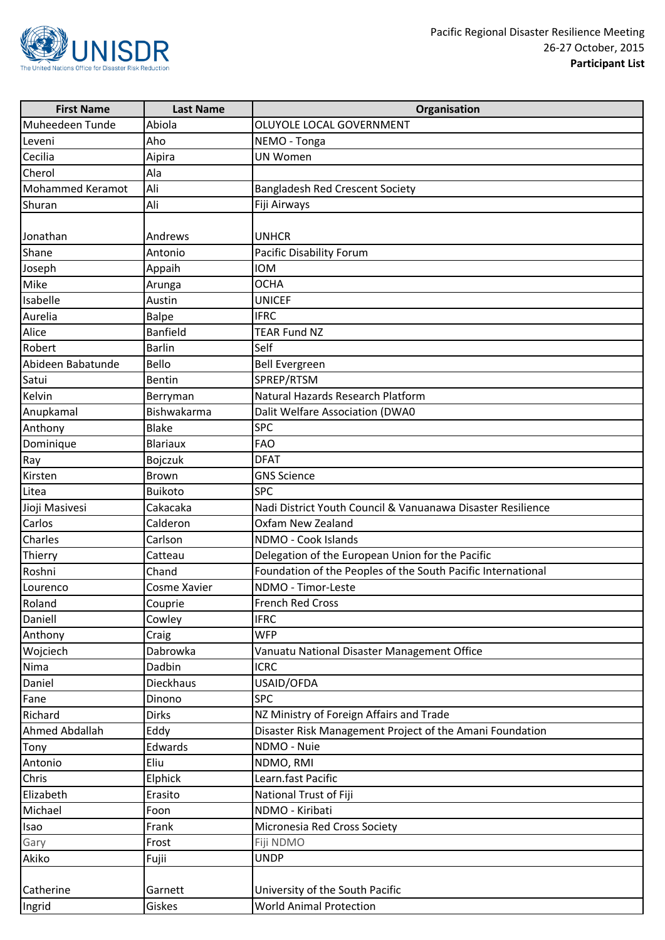

| <b>First Name</b> | <b>Last Name</b> | Organisation                                                 |
|-------------------|------------------|--------------------------------------------------------------|
| Muheedeen Tunde   | Abiola           | OLUYOLE LOCAL GOVERNMENT                                     |
| Leveni            | Aho              | NEMO - Tonga                                                 |
| Cecilia           | Aipira           | <b>UN Women</b>                                              |
| Cherol            | Ala              |                                                              |
| Mohammed Keramot  | Ali              | <b>Bangladesh Red Crescent Society</b>                       |
| Shuran            | Ali              | Fiji Airways                                                 |
|                   |                  |                                                              |
| Jonathan          | Andrews          | <b>UNHCR</b>                                                 |
| Shane             | Antonio          | Pacific Disability Forum                                     |
| Joseph            | Appaih           | <b>IOM</b>                                                   |
| Mike              | Arunga           | <b>OCHA</b>                                                  |
| Isabelle          | Austin           | <b>UNICEF</b>                                                |
| Aurelia           | Balpe            | <b>IFRC</b>                                                  |
| Alice             | <b>Banfield</b>  | <b>TEAR Fund NZ</b>                                          |
| Robert            | <b>Barlin</b>    | Self                                                         |
| Abideen Babatunde | Bello            | <b>Bell Evergreen</b>                                        |
| Satui             | <b>Bentin</b>    | SPREP/RTSM                                                   |
| Kelvin            | Berryman         | Natural Hazards Research Platform                            |
| Anupkamal         | Bishwakarma      | Dalit Welfare Association (DWA0                              |
| Anthony           | <b>Blake</b>     | <b>SPC</b>                                                   |
| Dominique         | Blariaux         | <b>FAO</b>                                                   |
| Ray               | Bojczuk          | <b>DFAT</b>                                                  |
| Kirsten           | Brown            | <b>GNS Science</b>                                           |
| Litea             | <b>Buikoto</b>   | <b>SPC</b>                                                   |
| Jioji Masivesi    | Cakacaka         | Nadi District Youth Council & Vanuanawa Disaster Resilience  |
| Carlos            | Calderon         | Oxfam New Zealand                                            |
| Charles           | Carlson          | NDMO - Cook Islands                                          |
| Thierry           | Catteau          | Delegation of the European Union for the Pacific             |
| Roshni            | Chand            | Foundation of the Peoples of the South Pacific International |
| Lourenco          | Cosme Xavier     | NDMO - Timor-Leste                                           |
| Roland            | Couprie          | French Red Cross                                             |
| Daniell           | Cowley           | <b>IFRC</b>                                                  |
| Anthony           | Craig            | <b>WFP</b>                                                   |
| Wojciech          | Dabrowka         | Vanuatu National Disaster Management Office                  |
| Nima              | Dadbin           | <b>ICRC</b>                                                  |
| Daniel            | Dieckhaus        | USAID/OFDA                                                   |
| Fane              | Dinono           | <b>SPC</b>                                                   |
| Richard           | <b>Dirks</b>     | NZ Ministry of Foreign Affairs and Trade                     |
| Ahmed Abdallah    | Eddy             | Disaster Risk Management Project of the Amani Foundation     |
| Tony              | Edwards          | NDMO - Nuie                                                  |
| Antonio           | Eliu             | NDMO, RMI                                                    |
| Chris             | Elphick          | Learn.fast Pacific                                           |
| Elizabeth         | Erasito          | National Trust of Fiji                                       |
| Michael           | Foon             | NDMO - Kiribati                                              |
| Isao              | Frank            | Micronesia Red Cross Society                                 |
| Gary              | Frost            | Fiji NDMO                                                    |
| Akiko             | Fujii            | <b>UNDP</b>                                                  |
|                   |                  |                                                              |
| Catherine         | Garnett          | University of the South Pacific                              |
| Ingrid            | Giskes           | <b>World Animal Protection</b>                               |
|                   |                  |                                                              |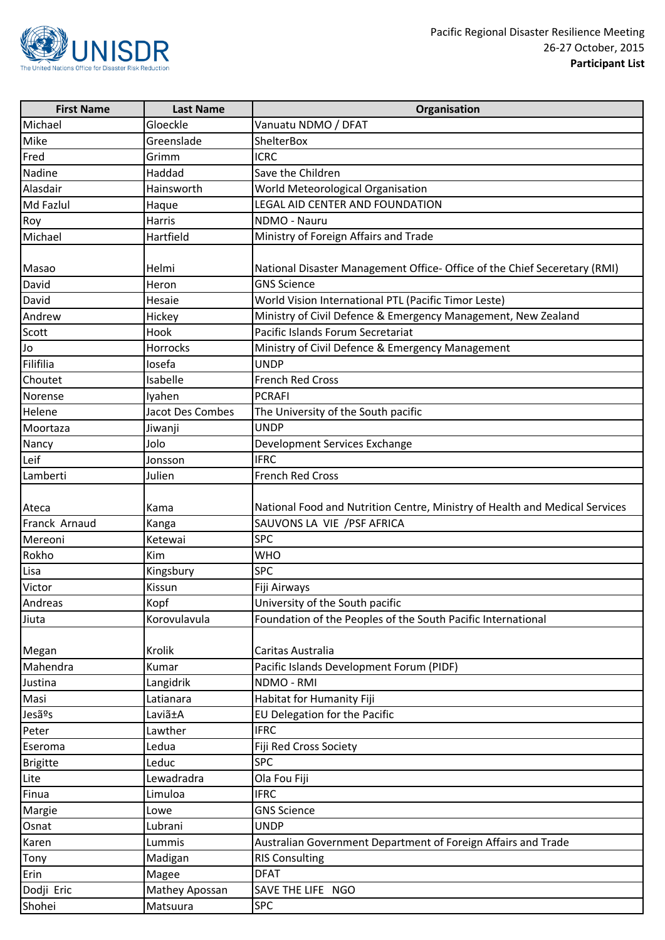

| <b>First Name</b> | <b>Last Name</b> | Organisation                                                                |
|-------------------|------------------|-----------------------------------------------------------------------------|
| Michael           | Gloeckle         | Vanuatu NDMO / DFAT                                                         |
| Mike              | Greenslade       | ShelterBox                                                                  |
| Fred              | Grimm            | <b>ICRC</b>                                                                 |
| Nadine            | Haddad           | Save the Children                                                           |
| Alasdair          | Hainsworth       | World Meteorological Organisation                                           |
| Md Fazlul         | Haque            | LEGAL AID CENTER AND FOUNDATION                                             |
| Roy               | Harris           | NDMO - Nauru                                                                |
| Michael           | Hartfield        | Ministry of Foreign Affairs and Trade                                       |
| Masao             | Helmi            | National Disaster Management Office- Office of the Chief Seceretary (RMI)   |
| David             | Heron            | <b>GNS Science</b>                                                          |
| David             | Hesaie           | World Vision International PTL (Pacific Timor Leste)                        |
| Andrew            | Hickey           | Ministry of Civil Defence & Emergency Management, New Zealand               |
| Scott             | Hook             | Pacific Islands Forum Secretariat                                           |
| <b>OL</b>         | Horrocks         | Ministry of Civil Defence & Emergency Management                            |
| Filifilia         | losefa           | <b>UNDP</b>                                                                 |
| Choutet           | Isabelle         | <b>French Red Cross</b>                                                     |
| Norense           | Iyahen           | <b>PCRAFI</b>                                                               |
| Helene            | Jacot Des Combes | The University of the South pacific                                         |
| Moortaza          | Jiwanji          | <b>UNDP</b>                                                                 |
| Nancy             | Jolo             | Development Services Exchange                                               |
| Leif              | Jonsson          | <b>IFRC</b>                                                                 |
| Lamberti          | Julien           | <b>French Red Cross</b>                                                     |
| Ateca             | Kama             | National Food and Nutrition Centre, Ministry of Health and Medical Services |
| Franck Arnaud     | Kanga            | SAUVONS LA VIE / PSF AFRICA                                                 |
| Mereoni           | Ketewai          | <b>SPC</b>                                                                  |
| Rokho             | Kim              | <b>WHO</b>                                                                  |
| Lisa              | Kingsbury        | <b>SPC</b>                                                                  |
| Victor            | Kissun           | Fiji Airways                                                                |
| Andreas           | Kopf             | University of the South pacific                                             |
| Jiuta             | Korovulavula     | Foundation of the Peoples of the South Pacific International                |
| Megan             | Krolik           | Caritas Australia                                                           |
| Mahendra          | Kumar            | Pacific Islands Development Forum (PIDF)                                    |
| Justina           | Langidrik        | NDMO - RMI                                                                  |
| Masi              | Latianara        | Habitat for Humanity Fiji                                                   |
| Jesãºs            | Laviã±A          | EU Delegation for the Pacific                                               |
| Peter             | Lawther          | <b>IFRC</b>                                                                 |
| Eseroma           | Ledua            | Fiji Red Cross Society                                                      |
| <b>Brigitte</b>   | Leduc            | <b>SPC</b>                                                                  |
| Lite              | Lewadradra       | Ola Fou Fiji                                                                |
| Finua             | Limuloa          | <b>IFRC</b>                                                                 |
| Margie            | Lowe             | <b>GNS Science</b>                                                          |
| Osnat             | Lubrani          | <b>UNDP</b>                                                                 |
| Karen             | Lummis           | Australian Government Department of Foreign Affairs and Trade               |
| Tony              | Madigan          | <b>RIS Consulting</b>                                                       |
| Erin              | Magee            | <b>DFAT</b>                                                                 |
| Dodji Eric        | Mathey Apossan   | SAVE THE LIFE NGO                                                           |
| Shohei            | Matsuura         | <b>SPC</b>                                                                  |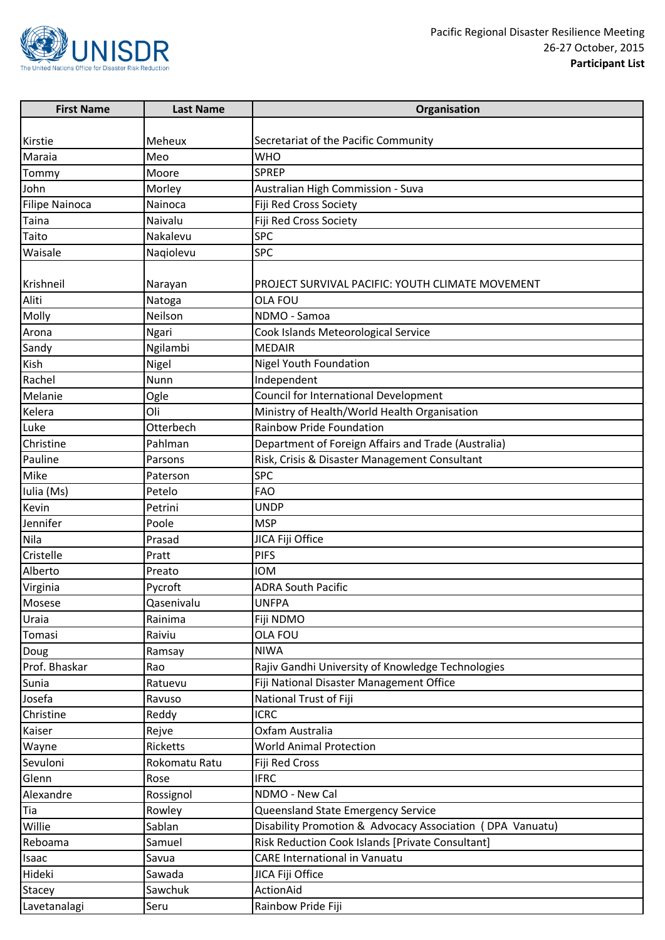

| <b>First Name</b>     | <b>Last Name</b> | Organisation                                              |
|-----------------------|------------------|-----------------------------------------------------------|
|                       |                  |                                                           |
| Kirstie               | Meheux           | Secretariat of the Pacific Community                      |
| Maraia                | Meo              | <b>WHO</b>                                                |
| Tommy                 | Moore            | <b>SPREP</b>                                              |
| John                  | Morley           | Australian High Commission - Suva                         |
| <b>Filipe Nainoca</b> | Nainoca          | Fiji Red Cross Society                                    |
| Taina                 | Naivalu          | Fiji Red Cross Society                                    |
| Taito                 | Nakalevu         | <b>SPC</b>                                                |
| Waisale               | Nagiolevu        | <b>SPC</b>                                                |
|                       |                  |                                                           |
| Krishneil             | Narayan          | PROJECT SURVIVAL PACIFIC: YOUTH CLIMATE MOVEMENT          |
| Aliti                 | Natoga           | OLA FOU                                                   |
| Molly                 | Neilson          | NDMO - Samoa                                              |
| Arona                 | Ngari            | Cook Islands Meteorological Service                       |
| Sandy                 | Ngilambi         | <b>MEDAIR</b>                                             |
| Kish                  | Nigel            | Nigel Youth Foundation                                    |
| Rachel                | Nunn             | Independent                                               |
| Melanie               | Ogle             | Council for International Development                     |
| Kelera                | Oli              | Ministry of Health/World Health Organisation              |
| Luke                  | Otterbech        | Rainbow Pride Foundation                                  |
| Christine             | Pahlman          | Department of Foreign Affairs and Trade (Australia)       |
| Pauline               | Parsons          | Risk, Crisis & Disaster Management Consultant             |
| Mike                  | Paterson         | <b>SPC</b>                                                |
| Iulia (Ms)            | Petelo           | <b>FAO</b>                                                |
| Kevin                 | Petrini          | <b>UNDP</b>                                               |
| Jennifer              | Poole            | <b>MSP</b>                                                |
| Nila                  | Prasad           | JICA Fiji Office                                          |
| Cristelle             | Pratt            | <b>PIFS</b>                                               |
| Alberto               | Preato           | <b>IOM</b>                                                |
| Virginia              | Pycroft          | <b>ADRA South Pacific</b>                                 |
| Mosese                | Qasenivalu       | <b>UNFPA</b>                                              |
| Uraia                 | Rainima          | Fiji NDMO                                                 |
| Tomasi                | Raiviu           | OLA FOU                                                   |
| Doug                  | Ramsay           | <b>NIWA</b>                                               |
| Prof. Bhaskar         | Rao              | Rajiv Gandhi University of Knowledge Technologies         |
| Sunia                 | Ratuevu          | Fiji National Disaster Management Office                  |
| Josefa                | Ravuso           | National Trust of Fiji                                    |
| Christine             | Reddy            | <b>ICRC</b>                                               |
| Kaiser                | Rejve            | Oxfam Australia                                           |
| Wayne                 | Ricketts         | <b>World Animal Protection</b>                            |
| Sevuloni              | Rokomatu Ratu    | Fiji Red Cross                                            |
| Glenn                 | Rose             | <b>IFRC</b>                                               |
| Alexandre             | Rossignol        | NDMO - New Cal                                            |
| Tia                   | Rowley           | Queensland State Emergency Service                        |
| Willie                | Sablan           | Disability Promotion & Advocacy Association (DPA Vanuatu) |
| Reboama               | Samuel           | Risk Reduction Cook Islands [Private Consultant]          |
| Isaac                 | Savua            | <b>CARE International in Vanuatu</b>                      |
| Hideki                | Sawada           | JICA Fiji Office                                          |
| Stacey                | Sawchuk          | ActionAid                                                 |
| Lavetanalagi          | Seru             | Rainbow Pride Fiji                                        |